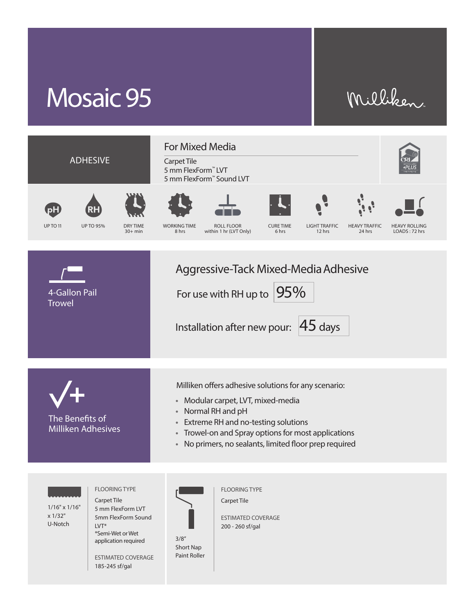## Mosaic 95

## Milliken



3/8" Short Nap Paint Roller

application required

ESTIMATED COVERAGE 185-245 sf/gal